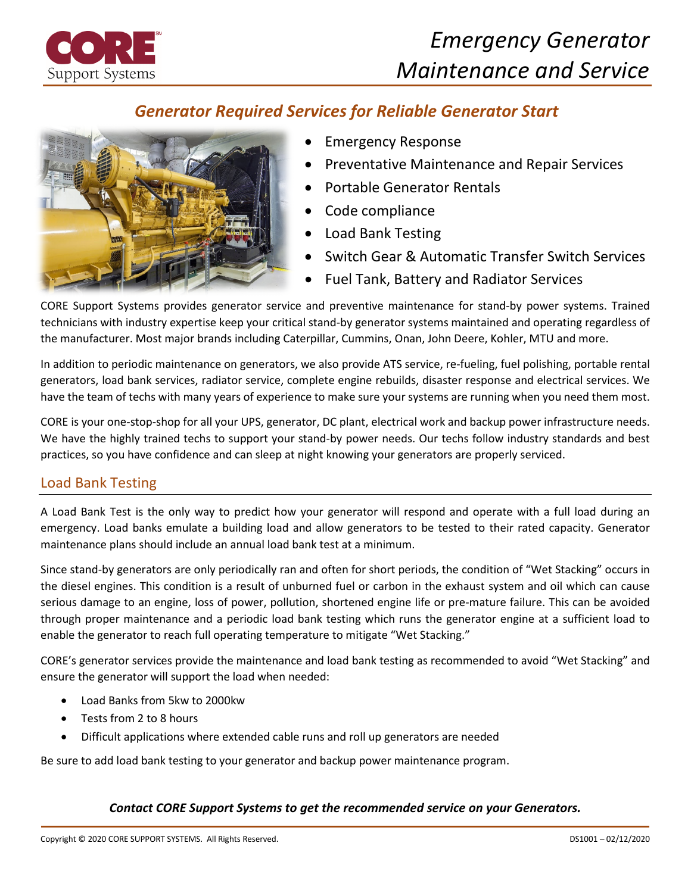

# *Emergency Generator Maintenance and Service*

## *Generator Required Services for Reliable Generator Start*



- Emergency Response
- Preventative Maintenance and Repair Services
- Portable Generator Rentals
- Code compliance
- Load Bank Testing
- Switch Gear & Automatic Transfer Switch Services
- Fuel Tank, Battery and Radiator Services

CORE Support Systems provides generator service and preventive maintenance for stand-by power systems. Trained technicians with industry expertise keep your critical stand-by generator systems maintained and operating regardless of the manufacturer. Most major brands including Caterpillar, Cummins, Onan, John Deere, Kohler, MTU and more.

In addition to periodic maintenance on generators, we also provide ATS service, re-fueling, fuel polishing, portable rental generators, load bank services, radiator service, complete engine rebuilds, disaster response and electrical services. We have the team of techs with many years of experience to make sure your systems are running when you need them most.

CORE is your one-stop-shop for all your UPS, generator, DC plant, electrical work and backup power infrastructure needs. We have the highly trained techs to support your stand-by power needs. Our techs follow industry standards and best practices, so you have confidence and can sleep at night knowing your generators are properly serviced.

## Load Bank Testing

A Load Bank Test is the only way to predict how your generator will respond and operate with a full load during an emergency. Load banks emulate a building load and allow generators to be tested to their rated capacity. Generator maintenance plans should include an annual load bank test at a minimum.

Since stand-by generators are only periodically ran and often for short periods, the condition of "Wet Stacking" occurs in the diesel engines. This condition is a result of unburned fuel or carbon in the exhaust system and oil which can cause serious damage to an engine, loss of power, pollution, shortened engine life or pre-mature failure. This can be avoided through proper maintenance and a periodic load bank testing which runs the generator engine at a sufficient load to enable the generator to reach full operating temperature to mitigate "Wet Stacking."

CORE's generator services provide the maintenance and load bank testing as recommended to avoid "Wet Stacking" and ensure the generator will support the load when needed:

- Load Banks from 5kw to 2000kw
- Tests from 2 to 8 hours
- Difficult applications where extended cable runs and roll up generators are needed

Be sure to add load bank testing to your generator and backup power maintenance program.

#### *Contact CORE Support Systems to get the recommended service on your Generators.*